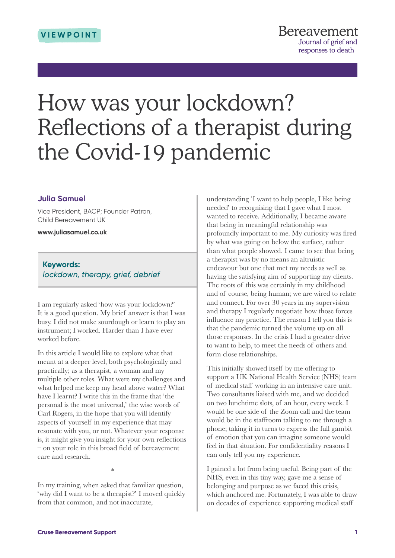# How was your lockdown? Reflections of a therapist during the Covid-19 pandemic

## **Julia Samuel**

Vice President, BACP; Founder Patron, Child Bereavement UK

**<www.juliasamuel.co.uk>**

### **Keywords:** *lockdown, therapy, grief, debrief*

I am regularly asked 'how was your lockdown?' It is a good question. My brief answer is that I was busy. I did not make sourdough or learn to play an instrument; I worked. Harder than I have ever worked before.

In this article I would like to explore what that meant at a deeper level, both psychologically and practically; as a therapist, a woman and my multiple other roles. What were my challenges and what helped me keep my head above water? What have I learnt? I write this in the frame that 'the personal is the most universal,' the wise words of Carl Rogers, in the hope that you will identify aspects of yourself in my experience that may resonate with you, or not. Whatever your response is, it might give you insight for your own reflections – on your role in this broad field of bereavement care and research.

\*

In my training, when asked that familiar question, 'why did I want to be a therapist?' I moved quickly from that common, and not inaccurate,

understanding 'I want to help people, I like being needed' to recognising that I gave what I most wanted to receive. Additionally, I became aware that being in meaningful relationship was profoundly important to me. My curiosity was fired by what was going on below the surface, rather than what people showed. I came to see that being a therapist was by no means an altruistic endeavour but one that met my needs as well as having the satisfying aim of supporting my clients. The roots of this was certainly in my childhood and of course, being human; we are wired to relate and connect. For over 30 years in my supervision and therapy I regularly negotiate how those forces influence my practice. The reason I tell you this is that the pandemic turned the volume up on all those responses. In the crisis I had a greater drive to want to help, to meet the needs of others and form close relationships.

This initially showed itself by me offering to support a UK National Health Service (NHS) team of medical staff working in an intensive care unit. Two consultants liaised with me, and we decided on two lunchtime slots, of an hour, every week. I would be one side of the Zoom call and the team would be in the staffroom talking to me through a phone; taking it in turns to express the full gambit of emotion that you can imagine someone would feel in that situation. For confidentiality reasons I can only tell you my experience.

I gained a lot from being useful. Being part of the NHS, even in this tiny way, gave me a sense of belonging and purpose as we faced this crisis, which anchored me. Fortunately, I was able to draw on decades of experience supporting medical staff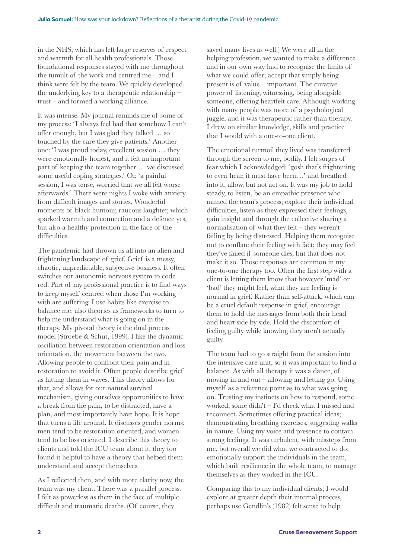in the NHS, which has left large reserves of respect and warmth for all health professionals. Those foundational responses stayed with me throughout the tumult of the work and centred me – and I think were felt by the team. We quickly developed the underlying key to a therapeutic relationship – trust – and formed a working alliance.

It was intense. My journal reminds me of some of my process: 'I always feel bad that somehow I can't offer enough, but I was glad they talked … so touched by the care they give patients.' Another one: 'I was proud today, excellent session … they were emotionally honest, and it felt an important part of keeping the team together … we discussed some useful coping strategies.' Or, 'a painful session, I was tense, worried that we all felt worse afterwards!' There were nights I woke with anxiety from difficult images and stories. Wonderful moments of black humour, raucous laughter, which sparked warmth and connection and a defence yes, but also a healthy protection in the face of the difficulties.

The pandemic had thrown us all into an alien and frightening landscape of grief. Grief is a messy, chaotic, unpredictable, subjective business. It often switches our autonomic nervous system to code red. Part of my professional practice is to find ways to keep myself centred when those I'm working with are suffering. I use habits like exercise to balance me: also theories as frameworks to turn to help me understand what is going on in the therapy. My pivotal theory is the dual process model (Stroebe & Schut, 1999). I like the dynamic oscillation between restoration orientation and loss orientation, the movement between the two. Allowing people to confront their pain and in restoration to avoid it. Often people describe grief as hitting them in waves. This theory allows for that, and allows for our natural survival mechanism, giving ourselves opportunities to have a break from the pain, to be distracted, have a plan, and most importantly have hope. It is hope that turns a life around. It discusses gender norms; men tend to be restoration oriented, and women tend to be loss oriented. I describe this theory to clients and told the ICU team about it; they too found it helpful to have a theory that helped them understand and accept themselves.

As I reflected then, and with more clarity now, the team was my client. There was a parallel process. I felt as powerless as them in the face of multiple difficult and traumatic deaths. (Of course, they

saved many lives as well.) We were all in the helping profession, we wanted to make a difference and in our own way had to recognise the limits of what we could offer; accept that simply being present is of value – important. The curative power of listening, witnessing, being alongside someone, offering heartfelt care. Although working with many people was more of a psychological juggle, and it was therapeutic rather than therapy, I drew on similar knowledge, skills and practice that I would with a one-to-one client.

The emotional turmoil they lived was transferred through the screen to me, bodily. I felt surges of fear which I acknowledged: 'gosh that's frightening to even hear, it must have been…' and breathed into it, allow, but not act on. It was my job to hold steady, to listen, be an empathic presence who named the team's process; explore their individual difficulties, listen as they expressed their feelings, gain insight and through the collective sharing a normalisation of what they felt – they weren't failing by being distressed. Helping them recognise not to conflate their feeling with fact; they may feel they've failed if someone dies, but that does not make it so. Those responses are common in my one-to-one therapy too. Often the first step with a client is letting them know that however 'mad' or 'bad' they might feel, what they are feeling is normal in grief. Rather than self-attack, which can be a cruel default response in grief, encourage them to hold the messages from both their head and heart side by side. Hold the discomfort of feeling guilty while knowing they aren't actually guilty.

The team had to go straight from the session into the intensive care unit, so it was important to find a balance. As with all therapy it was a dance, of moving in and out – allowing and letting go. Using myself as a reference point as to what was going on. Trusting my instincts on how to respond, some worked, some didn't – I'd check what I missed and reconnect. Sometimes offering practical ideas; demonstrating breathing exercises, suggesting walks in nature. Using my voice and presence to contain strong feelings. It was turbulent, with missteps from me, but overall we did what we contracted to do: emotionally support the individuals in the team, which built resilience in the whole team, to manage themselves as they worked in the ICU.

Comparing this to my individual clients; I would explore at greater depth their internal process, perhaps use Gendlin's (1982) felt sense to help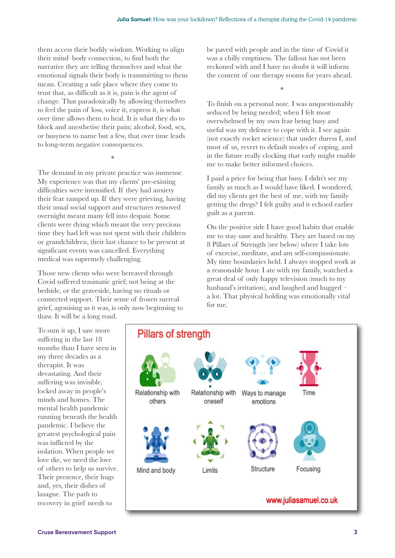them access their bodily wisdom. Working to align their mind–body connection, to find both the narrative they are telling themselves and what the emotional signals their body is transmitting to them mean. Creating a safe place where they come to trust that, as difficult as it is, pain is the agent of change. That paradoxically by allowing themselves to feel the pain of loss, voice it, express it, is what over time allows them to heal. It is what they do to block and anesthetise their pain; alcohol, food, sex, or busyness to name but a few, that over time leads to long-term negative consequences.

The demand in my private practice was immense. My experience was that my clients' pre-existing difficulties were intensified. If they had anxiety their fear ramped up. If they were grieving, having their usual social support and structures removed overnight meant many fell into despair. Some clients were dying which meant the very precious time they had left was not spent with their children or grandchildren, their last chance to be present at significant events was cancelled. Everything medical was supremely challenging.

\*

Those new clients who were bereaved through Covid suffered traumatic grief; not being at the bedside, or the graveside, having no rituals or connected support. Their sense of frozen surreal grief, agonising as it was, is only now beginning to thaw. It will be a long road.

be paved with people and in the time of Covid it was a chilly emptiness. The fallout has not been reckoned with and I have no doubt it will inform the content of our therapy rooms for years ahead.

\*

To finish on a personal note. I was unquestionably seduced by being needed; when I felt most overwhelmed by my own fear being busy and useful was my defence to cope with it. I see again (not exactly rocket science) that under duress I, and most of us, revert to default modes of coping, and in the future really clocking that early might enable me to make better informed choices.

I paid a price for being that busy. I didn't see my family as much as I would have liked. I wondered, did my clients get the best of me, with my family getting the dregs? I felt guilty and it echoed earlier guilt as a parent.

On the positive side I have good habits that enable me to stay sane and healthy. They are based on my 8 Pillars of Strength (see below) where I take lots of exercise, meditate, and am self-compassionate. My time boundaries held. I always stopped work at a reasonable hour. I ate with my family, watched a great deal of only happy television (much to my husband's irritation), and laughed and hugged – a lot. That physical holding was emotionally vital for me.

To sum it up, I saw more suffering in the last 18 months than I have seen in my three decades as a therapist. It was devastating. And their suffering was invisible, locked away in people's minds and homes. The mental health pandemic running beneath the health pandemic. I believe the greatest psychological pain was inflicted by the isolation. When people we love die, we need the love of others to help us survive. Their presence, their hugs and, yes, their dishes of lasagne. The path to recovery in grief needs to